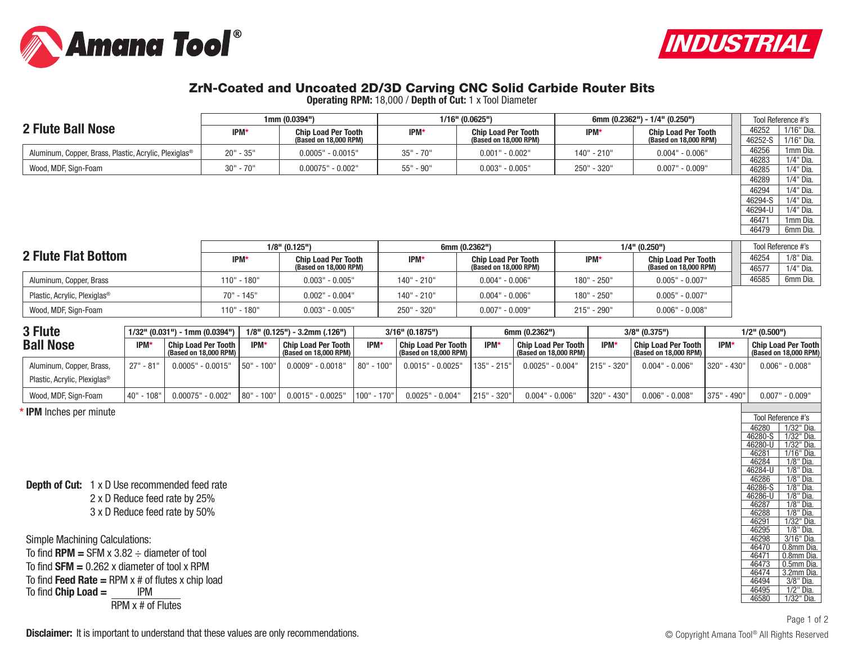



## ZrN-Coated and Uncoated 2D/3D Carving CNC Solid Carbide Router Bits

**Operating RPM:** 18,000 / **Depth of Cut:** 1 x Tool Diameter

|                                                                   |             | 1mm(0.0394")               |             | $1/16"$ (0.0625")          | 6mm (0.2362") - 1/4" (0.250") | Tool Reference #'s         |         |                    |
|-------------------------------------------------------------------|-------------|----------------------------|-------------|----------------------------|-------------------------------|----------------------------|---------|--------------------|
| 2 Flute Ball Nose                                                 | IPM*        | <b>Chip Load Per Tooth</b> | <b>IPM*</b> | <b>Chip Load Per Tooth</b> | IPM*                          | <b>Chip Load Per Tooth</b> | 46252   | 1/16" Dia.         |
|                                                                   |             | (Based on 18,000 RPM)      |             | (Based on 18,000 RPM)      |                               | (Based on 18,000 RPM)      | 46252-S | 1/16" Dia.         |
| Aluminum, Copper, Brass, Plastic, Acrylic, Plexiglas <sup>®</sup> | $20" - 35"$ | $0.0005" - 0.0015"$        | $35" - 70"$ | $0.001" - 0.002"$          | 140" - 210"                   | $0.004" - 0.006"$          | 46256   | 1mm Dia.           |
|                                                                   |             |                            |             |                            |                               |                            | 46283   | 1/4" Dia.          |
| Wood, MDF, Sign-Foam                                              | $30" - 70"$ | $0.00075" - 0.002"$        | 55" - 90"   | $0.003" - 0.005"$          | 250" - 320"                   | $0.007" - 0.009"$          | 46285   | 1/4" Dia.          |
|                                                                   |             |                            |             |                            |                               |                            | 46289   | 1/4" Dia.          |
|                                                                   |             |                            |             |                            |                               |                            | 46294   | 1/4" Dia.          |
|                                                                   |             |                            |             |                            |                               |                            | 46294-S | 1/4" Dia.          |
|                                                                   |             |                            |             |                            |                               |                            | 46294-U | 1/4" Dia.          |
|                                                                   |             |                            |             |                            |                               |                            | 46471   | 1mm Dia.           |
|                                                                   |             |                            |             |                            |                               |                            | 46479   | 6mm Dia.           |
|                                                                   |             |                            |             |                            |                               |                            |         |                    |
|                                                                   |             | $1/8"$ (0.125")            |             | 6mm (0.2362")              |                               | $1/4"$ (0.250")            |         | Tool Reference #'s |
| 2 Flute Flat Bottom                                               | IPM*        | <b>Chip Load Per Tooth</b> | IPM*        | <b>Chip Load Per Tooth</b> | IPM*                          | <b>Chip Load Per Tooth</b> | 46254   | 1/8" Dia.          |
|                                                                   |             | (Based on 18,000 RPM)      |             | (Based on 18,000 RPM)      |                               | (Based on 18,000 RPM)      | 46577   | 1/4" Dia.          |
| Aluminum, Copper, Brass                                           | 110" - 180" | $0.003" - 0.005"$          | 140" - 210" | $0.004" - 0.006"$          | 180" - 250"                   | $0.005" - 0.007"$          | 46585   | 6mm Dia.           |

| Aluminum, Copper, Brass                  |                                   |                              |            |                                  |            |                            |                     |                              |             |                     |                   |             |                 |                            |
|------------------------------------------|-----------------------------------|------------------------------|------------|----------------------------------|------------|----------------------------|---------------------|------------------------------|-------------|---------------------|-------------------|-------------|-----------------|----------------------------|
| Plastic, Acrylic, Plexiglas <sup>®</sup> |                                   | 70" - 145"                   |            | $0.002" - 0.004"$                |            | 140" - 210"                | $0.004"$ - $0.006"$ |                              | 180" - 250" |                     | $0.005" - 0.007"$ |             |                 |                            |
| Wood, MDF, Sign-Foam                     |                                   | 110" - 180"                  |            | $0.003" - 0.005"$                |            | 250" - 320"                | $0.007"$ - $0.009"$ |                              | 215" - 290" |                     | $0.006" - 0.008"$ |             |                 |                            |
| 3 Flute                                  | $1/32$ " (0.031") - 1mm (0.0394") |                              |            | $1/8$ " (0.125") - 3.2mm (.126") |            | $3/16"$ (0.1875")          |                     | 6mm (0.2362")                |             | $3/8"$ (0.375")     |                   |             | $1/2"$ (0.500") |                            |
| <b>Ball Nose</b>                         | IPM                               | <b>Chip Load Per Tooth  </b> | <b>IPM</b> | Chip Load Per Tooth              | <b>IPM</b> | <b>Chip Load Per Tooth</b> | <b>IPM</b>          | <b>Chip Load Per Tooth  </b> | <b>IPM'</b> | Chip Load Per Tooth |                   | <b>IPM*</b> |                 | <b>Chip Load Per Tooth</b> |

| <b>IPM</b>      | Chip Load Per Tooth   | <b>IPM</b> | <b>Chip Load Per Tooth I</b>                            | <b>IPM</b> | Chip Load Per Tooth I                                   | <b>IPM'</b> | <b>Chip Load Per Tooth I</b> | <b>IPM</b>                    | <b>Chip Load Per Tooth</b>                       | <b>IPM'</b> | Chip Load Per Tooth<br>(Based on 18,000 RPM) |
|-----------------|-----------------------|------------|---------------------------------------------------------|------------|---------------------------------------------------------|-------------|------------------------------|-------------------------------|--------------------------------------------------|-------------|----------------------------------------------|
| - 81"<br>27"    | $0.0005"$ - $0.0015"$ |            | $0.0009" - 0.0018"$                                     |            | ' - 0.0025'<br>0.0015"                                  |             | $0.0025" - 0.004"$           |                               | $0.004" - 0.006"$                                | - 430"      | $0.006"$ - $0.008"$                          |
|                 |                       |            |                                                         |            |                                                         |             |                              |                               |                                                  |             |                                              |
| - 108"<br>l 40" | $0.00075"$ - $0.002"$ |            | $0.0015" - 0.0025"$                                     |            | $0.0025" - 0.004"$                                      |             | $0.004" - 0.006"$            |                               | $0.006" - 0.008"$                                | - 490"      | $0.007"$ - $0.009"$                          |
|                 |                       |            | (Based on 18,000 RPM)<br>$150" - 100"$<br>$180" - 100"$ |            | (Based on 18,000 RPM)  <br>  80" - 100"<br>1100" - 170" |             | (Based on 18,000 RPM)        | 135" - 215"<br>$ 215" - 320"$ | (Based on 18,000 RPM)  <br>1215"<br>1320" - 430" | $-320"$     | (Based on 18,000 RPM)<br>320"<br>1375"       |

**\* IPM** Inches per minute

**Depth of Cut:** 1 x D Use recommended feed rate

2 x D Reduce feed rate by 25% 3 x D Reduce feed rate by 50%

Simple Machining Calculations: To find  $RPM = SFM \times 3.82 \div$  diameter of tool To find **SFM =** 0.262 x diameter of tool x RPM To find **Feed Rate =** RPM x # of flutes x chip load To find **Chip Load =** RPM x # of Flutes

|         | Tool Reference #'s          |
|---------|-----------------------------|
| 46280   | 1/32"<br>Dia.               |
| 46280-S | 1/32"<br>Dia.               |
| 46280-U | 1/32"<br>Dia.               |
| 46281   | 1/16"<br>Dia.               |
| 46284   | 1/8"<br>Dia.                |
| 46284-U | 1/8"<br>Ďіа.                |
| 46286   | 1/8"<br>Dia.                |
| 46286-S | $1/8$ "<br>Dia.             |
| 46286-U | $1/8$ <sup>"</sup><br>Dia.  |
| 46287   | $1/8$ <sup>ii</sup><br>Dia. |
| 46288   | 1/8"<br>Dia.                |
| 46291   | 1/32"<br>Dia.               |
| 46295   | 1/8"<br>Dia.                |
| 46298   | 3/16"<br>Dia.               |
| 46470   | 0.8mm Dia.                  |
| 46471   | 0.8 <sub>mm</sub><br>Dia.   |
| 46473   | 0.5mm Dia.                  |
| 46474   | 3.2 <sub>mm</sub><br>Dia.   |
| 46494   | 3/8"<br>Dia.                |
| 46495   | $1/2$ "<br>Dia.             |
| 46580   | .<br>Dia.<br>1/32"          |